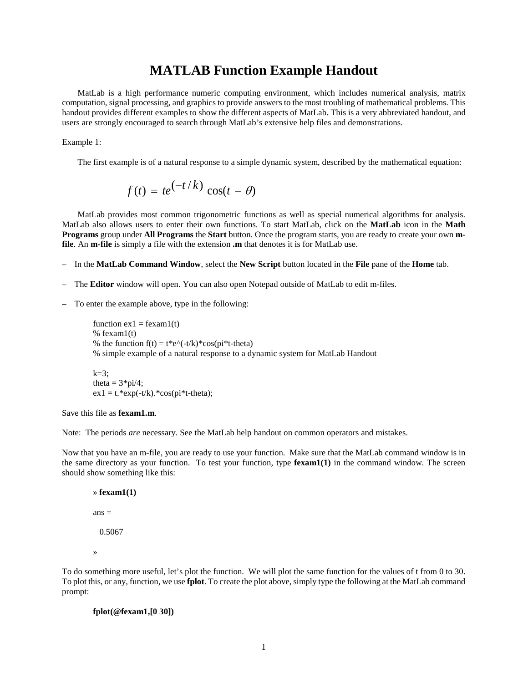## **MATLAB Function Example Handout**

MatLab is a high performance numeric computing environment, which includes numerical analysis, matrix computation, signal processing, and graphics to provide answers to the most troubling of mathematical problems. This handout provides different examples to show the different aspects of MatLab. This is a very abbreviated handout, and users are strongly encouraged to search through MatLab's extensive help files and demonstrations.

Example 1:

The first example is of a natural response to a simple dynamic system, described by the mathematical equation:

$$
f(t) = te^{(-t/k)} \cos(t - \theta)
$$

MatLab provides most common trigonometric functions as well as special numerical algorithms for analysis. MatLab also allows users to enter their own functions. To start MatLab, click on the **MatLab** icon in the **Math Programs** group under **All Programs** the **Start** button. Once the program starts, you are ready to create your own **mfile**. An **m-file** is simply a file with the extension **.m** that denotes it is for MatLab use.

- In the **MatLab Command Window**, select the **New Script** button located in the **File** pane of the **Home** tab.
- The **Editor** window will open. You can also open Notepad outside of MatLab to edit m-files.
- To enter the example above, type in the following:

function  $ex1 = fexam1(t)$ % fexam1(t) % the function  $f(t) = t^*e^{\Lambda}(-t/k)^*cos(p i^*t-theta)$ % simple example of a natural response to a dynamic system for MatLab Handout

 $k=3$ ; theta =  $3*pi/4$ ;  $ex1 = t.*exp(-t/k).*cos(pi*t-theta);$ 

Save this file as **fexam1.m**.

Note: The periods *are* necessary. See the MatLab help handout on common operators and mistakes.

Now that you have an m-file, you are ready to use your function. Make sure that the MatLab command window is in the same directory as your function. To test your function, type **fexam1(1)** in the command window. The screen should show something like this:

```
» fexam1(1)
ans = 0.5067
»
```
To do something more useful, let's plot the function. We will plot the same function for the values of t from 0 to 30. To plot this, or any, function, we use **fplot**. To create the plot above, simply type the following at the MatLab command prompt:

```
fplot(@fexam1,[0 30])
```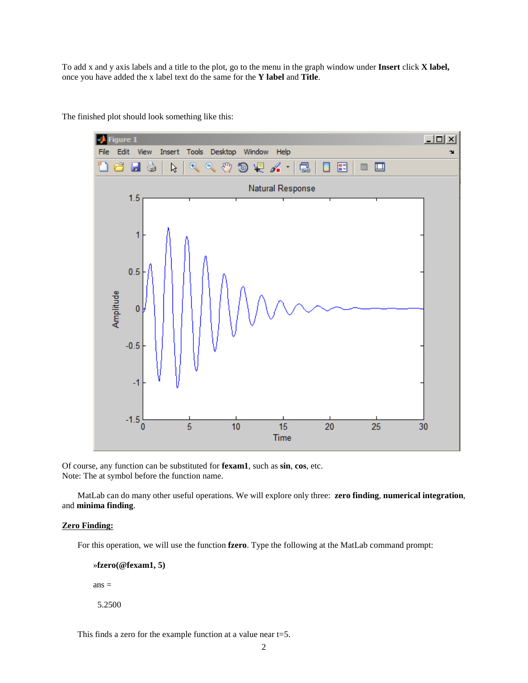To add x and y axis labels and a title to the plot, go to the menu in the graph window under **Insert** click **X label,** once you have added the x label text do the same for the **Y label** and **Title**.



The finished plot should look something like this:

Of course, any function can be substituted for **fexam1**, such as **sin**, **cos**, etc. Note: The at symbol before the function name.

MatLab can do many other useful operations. We will explore only three: **zero finding**, **numerical integration**, and **minima finding**.

## **Zero Finding:**

For this operation, we will use the function **fzero**. Type the following at the MatLab command prompt:

»**fzero(@fexam1, 5)**

 $ans =$ 

5.2500

This finds a zero for the example function at a value near t=5.